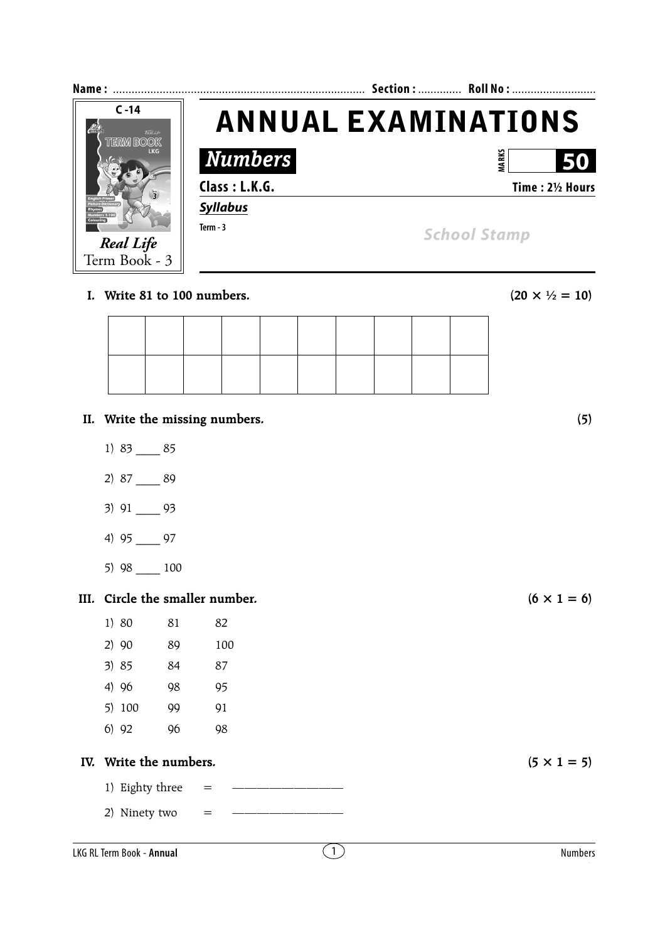| Name:                               |                 | Section:  Roll No:             |
|-------------------------------------|-----------------|--------------------------------|
| $C - 14$<br>$\epsilon$<br>Real Life |                 | <b>ANNUAL EXAMINATIONS</b>     |
| <b>TERM BOOK</b><br><b>LKG</b>      | <b>Numbers</b>  | MARKS<br>50                    |
| $\overline{z}$                      | Class: L.K.G.   | Time: 21/2 Hours               |
|                                     | <b>Syllabus</b> |                                |
|                                     | Term $-3$       | <b>School Stamp</b>            |
| <b>Real Life</b><br>Term Book - 3   |                 |                                |
| Write 81 to 100 numbers.            |                 | $(20 \times \frac{1}{2} = 10)$ |

|  |  | 1. Write 81 to 100 numbers. |  |
|--|--|-----------------------------|--|
|  |  |                             |  |

- **II. Write the missing numbers. (5)**
	- 1) 83 \_\_\_\_ 85
	- 2) 87 \_\_\_\_ 89
	- 3) 91 \_\_\_\_ 93
	- 4) 95 \_\_\_\_ 97
	- 5) 98 \_\_\_\_ 100

## **III.** Circle the smaller number. ( $6 \times 1 = 6$ )

| 1) 80  | 81 | 82  |
|--------|----|-----|
| 2)90   | 89 | 100 |
| 3)85   | 84 | 87  |
| 4) 96  | 98 | 95  |
| 5) 100 | 99 | 91  |
| 6) 92  | 96 | 98  |
|        |    |     |

## **IV.** Write the numbers.  $(5 \times 1 = 5)$

- 1) Eighty three = —————————
- 2) Ninety two = —————————